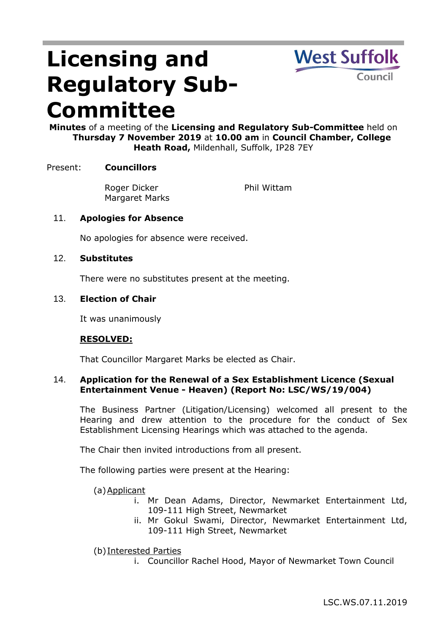# **Licensing and Regulatory Sub-Committee**



**Minutes** of a meeting of the **Licensing and Regulatory Sub-Committee** held on **Thursday 7 November 2019** at **10.00 am** in **Council Chamber, College Heath Road,** Mildenhall, Suffolk, IP28 7EY

## Present: **Councillors**

Roger Dicker Margaret Marks Phil Wittam

## 11. **Apologies for Absence**

No apologies for absence were received.

#### 12. **Substitutes**

There were no substitutes present at the meeting.

#### 13. **Election of Chair**

It was unanimously

#### **RESOLVED:**

That Councillor Margaret Marks be elected as Chair.

### 14. **Application for the Renewal of a Sex Establishment Licence (Sexual Entertainment Venue - Heaven) (Report No: LSC/WS/19/004)**

The Business Partner (Litigation/Licensing) welcomed all present to the Hearing and drew attention to the procedure for the conduct of Sex Establishment Licensing Hearings which was attached to the agenda.

The Chair then invited introductions from all present.

The following parties were present at the Hearing:

(a)Applicant

- i. Mr Dean Adams, Director, Newmarket Entertainment Ltd, 109-111 High Street, Newmarket
- ii. Mr Gokul Swami, Director, Newmarket Entertainment Ltd, 109-111 High Street, Newmarket
- (b)Interested Parties
	- i. Councillor Rachel Hood, Mayor of Newmarket Town Council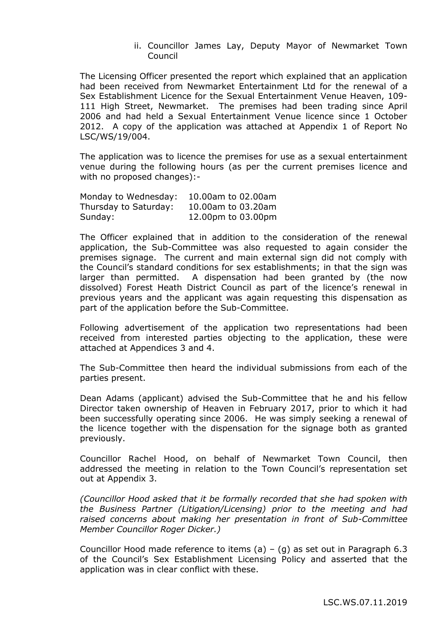ii. Councillor James Lay, Deputy Mayor of Newmarket Town Council

The Licensing Officer presented the report which explained that an application had been received from Newmarket Entertainment Ltd for the renewal of a Sex Establishment Licence for the Sexual Entertainment Venue Heaven, 109- 111 High Street, Newmarket. The premises had been trading since April 2006 and had held a Sexual Entertainment Venue licence since 1 October 2012. A copy of the application was attached at Appendix 1 of Report No LSC/WS/19/004.

The application was to licence the premises for use as a sexual entertainment venue during the following hours (as per the current premises licence and with no proposed changes):-

| Monday to Wednesday:  | 10.00am to 02.00am |
|-----------------------|--------------------|
| Thursday to Saturday: | 10.00am to 03.20am |
| Sunday:               | 12.00pm to 03.00pm |

The Officer explained that in addition to the consideration of the renewal application, the Sub-Committee was also requested to again consider the premises signage. The current and main external sign did not comply with the Council's standard conditions for sex establishments; in that the sign was larger than permitted. A dispensation had been granted by (the now dissolved) Forest Heath District Council as part of the licence's renewal in previous years and the applicant was again requesting this dispensation as part of the application before the Sub-Committee.

Following advertisement of the application two representations had been received from interested parties objecting to the application, these were attached at Appendices 3 and 4.

The Sub-Committee then heard the individual submissions from each of the parties present.

Dean Adams (applicant) advised the Sub-Committee that he and his fellow Director taken ownership of Heaven in February 2017, prior to which it had been successfully operating since 2006. He was simply seeking a renewal of the licence together with the dispensation for the signage both as granted previously.

Councillor Rachel Hood, on behalf of Newmarket Town Council, then addressed the meeting in relation to the Town Council's representation set out at Appendix 3.

*(Councillor Hood asked that it be formally recorded that she had spoken with the Business Partner (Litigation/Licensing) prior to the meeting and had raised concerns about making her presentation in front of Sub-Committee Member Councillor Roger Dicker.)*

Councillor Hood made reference to items  $(a) - (g)$  as set out in Paragraph 6.3 of the Council's Sex Establishment Licensing Policy and asserted that the application was in clear conflict with these.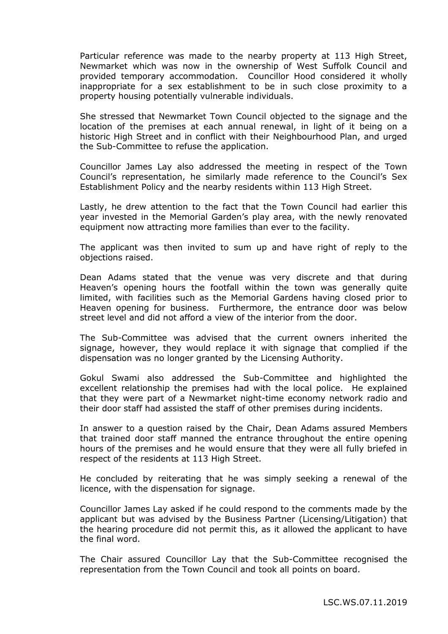Particular reference was made to the nearby property at 113 High Street, Newmarket which was now in the ownership of West Suffolk Council and provided temporary accommodation. Councillor Hood considered it wholly inappropriate for a sex establishment to be in such close proximity to a property housing potentially vulnerable individuals.

She stressed that Newmarket Town Council objected to the signage and the location of the premises at each annual renewal, in light of it being on a historic High Street and in conflict with their Neighbourhood Plan, and urged the Sub-Committee to refuse the application.

Councillor James Lay also addressed the meeting in respect of the Town Council's representation, he similarly made reference to the Council's Sex Establishment Policy and the nearby residents within 113 High Street.

Lastly, he drew attention to the fact that the Town Council had earlier this year invested in the Memorial Garden's play area, with the newly renovated equipment now attracting more families than ever to the facility.

The applicant was then invited to sum up and have right of reply to the objections raised.

Dean Adams stated that the venue was very discrete and that during Heaven's opening hours the footfall within the town was generally quite limited, with facilities such as the Memorial Gardens having closed prior to Heaven opening for business. Furthermore, the entrance door was below street level and did not afford a view of the interior from the door.

The Sub-Committee was advised that the current owners inherited the signage, however, they would replace it with signage that complied if the dispensation was no longer granted by the Licensing Authority.

Gokul Swami also addressed the Sub-Committee and highlighted the excellent relationship the premises had with the local police. He explained that they were part of a Newmarket night-time economy network radio and their door staff had assisted the staff of other premises during incidents.

In answer to a question raised by the Chair, Dean Adams assured Members that trained door staff manned the entrance throughout the entire opening hours of the premises and he would ensure that they were all fully briefed in respect of the residents at 113 High Street.

He concluded by reiterating that he was simply seeking a renewal of the licence, with the dispensation for signage.

Councillor James Lay asked if he could respond to the comments made by the applicant but was advised by the Business Partner (Licensing/Litigation) that the hearing procedure did not permit this, as it allowed the applicant to have the final word.

The Chair assured Councillor Lay that the Sub-Committee recognised the representation from the Town Council and took all points on board.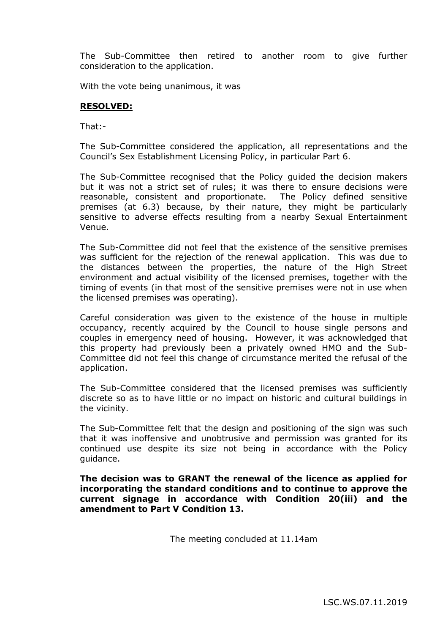The Sub-Committee then retired to another room to give further consideration to the application.

With the vote being unanimous, it was

## **RESOLVED:**

That:-

The Sub-Committee considered the application, all representations and the Council's Sex Establishment Licensing Policy, in particular Part 6.

The Sub-Committee recognised that the Policy guided the decision makers but it was not a strict set of rules; it was there to ensure decisions were reasonable, consistent and proportionate. The Policy defined sensitive premises (at 6.3) because, by their nature, they might be particularly sensitive to adverse effects resulting from a nearby Sexual Entertainment Venue.

The Sub-Committee did not feel that the existence of the sensitive premises was sufficient for the rejection of the renewal application. This was due to the distances between the properties, the nature of the High Street environment and actual visibility of the licensed premises, together with the timing of events (in that most of the sensitive premises were not in use when the licensed premises was operating).

Careful consideration was given to the existence of the house in multiple occupancy, recently acquired by the Council to house single persons and couples in emergency need of housing. However, it was acknowledged that this property had previously been a privately owned HMO and the Sub-Committee did not feel this change of circumstance merited the refusal of the application.

The Sub-Committee considered that the licensed premises was sufficiently discrete so as to have little or no impact on historic and cultural buildings in the vicinity.

The Sub-Committee felt that the design and positioning of the sign was such that it was inoffensive and unobtrusive and permission was granted for its continued use despite its size not being in accordance with the Policy guidance.

**The decision was to GRANT the renewal of the licence as applied for incorporating the standard conditions and to continue to approve the current signage in accordance with Condition 20(iii) and the amendment to Part V Condition 13.**

The meeting concluded at 11.14am